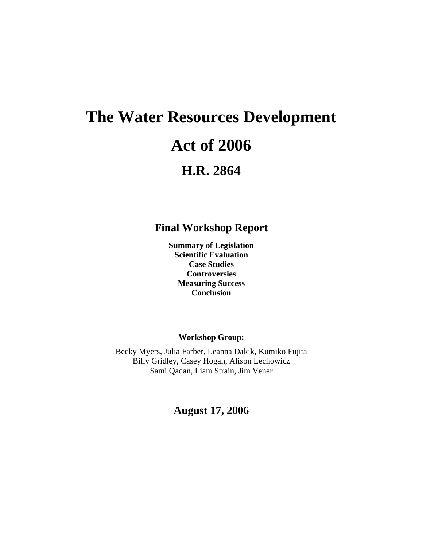# **The Water Resources Development Act of 2006 H.R. 2864**

**Final Workshop Report** 

**Summary of Legislation Scientific Evaluation Case Studies Controversies Measuring Success Conclusion** 

**Workshop Group:** 

Becky Myers, Julia Farber, Leanna Dakik, Kumiko Fujita Billy Gridley, Casey Hogan, Alison Lechowicz Sami Qadan, Liam Strain, Jim Vener

**August 17, 2006**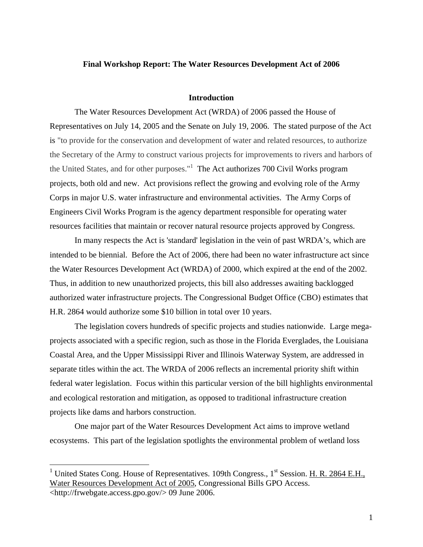## **Final Workshop Report: The Water Resources Development Act of 2006**

#### **Introduction**

The Water Resources Development Act (WRDA) of 2006 passed the House of Representatives on July 14, 2005 and the Senate on July 19, 2006. The stated purpose of the Act is "to provide for the conservation and development of water and related resources, to authorize the Secretary of the Army to construct various projects for improvements to rivers and harbors of the United States, and for other purposes."<sup>1</sup> The Act authorizes 700 Civil Works program projects, both old and new. Act provisions reflect the growing and evolving role of the Army Corps in major U.S. water infrastructure and environmental activities. The Army Corps of Engineers Civil Works Program is the agency department responsible for operating water resources facilities that maintain or recover natural resource projects approved by Congress.

In many respects the Act is 'standard' legislation in the vein of past WRDA's, which are intended to be biennial. Before the Act of 2006, there had been no water infrastructure act since the Water Resources Development Act (WRDA) of 2000, which expired at the end of the 2002. Thus, in addition to new unauthorized projects, this bill also addresses awaiting backlogged authorized water infrastructure projects. The Congressional Budget Office (CBO) estimates that H.R. 2864 would authorize some \$10 billion in total over 10 years.

The legislation covers hundreds of specific projects and studies nationwide. Large megaprojects associated with a specific region, such as those in the Florida Everglades, the Louisiana Coastal Area, and the Upper Mississippi River and Illinois Waterway System, are addressed in separate titles within the act. The WRDA of 2006 reflects an incremental priority shift within federal water legislation. Focus within this particular version of the bill highlights environmental and ecological restoration and mitigation, as opposed to traditional infrastructure creation projects like dams and harbors construction.

One major part of the Water Resources Development Act aims to improve wetland ecosystems. This part of the legislation spotlights the environmental problem of wetland loss

1

<span id="page-1-0"></span><sup>&</sup>lt;sup>1</sup> United States Cong. House of Representatives. 109th Congress.,  $1^{st}$  Session. H. R. 2864 E.H., Water Resources Development Act of 2005, Congressional Bills GPO Access. <http://frwebgate.access.gpo.gov/> 09 June 2006.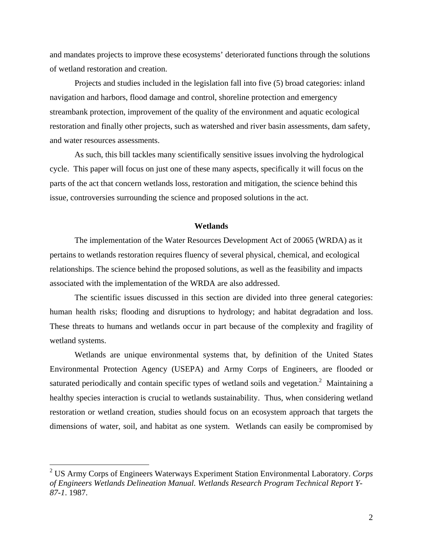and mandates projects to improve these ecosystems' deteriorated functions through the solutions of wetland restoration and creation.

Projects and studies included in the legislation fall into five (5) broad categories: inland navigation and harbors, flood damage and control, shoreline protection and emergency streambank protection, improvement of the quality of the environment and aquatic ecological restoration and finally other projects, such as watershed and river basin assessments, dam safety, and water resources assessments.

As such, this bill tackles many scientifically sensitive issues involving the hydrological cycle. This paper will focus on just one of these many aspects, specifically it will focus on the parts of the act that concern wetlands loss, restoration and mitigation, the science behind this issue, controversies surrounding the science and proposed solutions in the act.

## **Wetlands**

The implementation of the Water Resources Development Act of 20065 (WRDA) as it pertains to wetlands restoration requires fluency of several physical, chemical, and ecological relationships. The science behind the proposed solutions, as well as the feasibility and impacts associated with the implementation of the WRDA are also addressed.

The scientific issues discussed in this section are divided into three general categories: human health risks; flooding and disruptions to hydrology; and habitat degradation and loss. These threats to humans and wetlands occur in part because of the complexity and fragility of wetland systems.

Wetlands are unique environmental systems that, by definition of the United States Environmental Protection Agency (USEPA) and Army Corps of Engineers, are flooded or saturated periodically and contain specific types of wetland soils and vegetation.<sup>2</sup> Maintaining a healthy species interaction is crucial to wetlands sustainability. Thus, when considering wetland restoration or wetland creation, studies should focus on an ecosystem approach that targets the dimensions of water, soil, and habitat as one system. Wetlands can easily be compromised by

1

<span id="page-2-0"></span><sup>2</sup> US Army Corps of Engineers Waterways Experiment Station Environmental Laboratory. *Corps of Engineers Wetlands Delineation Manual. Wetlands Research Program Technical Report Y-87-1*. 1987.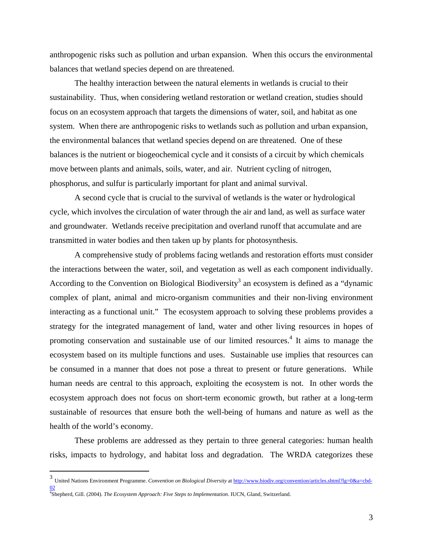anthropogenic risks such as pollution and urban expansion. When this occurs the environmental balances that wetland species depend on are threatened.

The healthy interaction between the natural elements in wetlands is crucial to their sustainability. Thus, when considering wetland restoration or wetland creation, studies should focus on an ecosystem approach that targets the dimensions of water, soil, and habitat as one system. When there are anthropogenic risks to wetlands such as pollution and urban expansion, the environmental balances that wetland species depend on are threatened. One of these balances is the nutrient or biogeochemical cycle and it consists of a circuit by which chemicals move between plants and animals, soils, water, and air. Nutrient cycling of nitrogen, phosphorus, and sulfur is particularly important for plant and animal survival.

A second cycle that is crucial to the survival of wetlands is the water or hydrological cycle, which involves the circulation of water through the air and land, as well as surface water and groundwater. Wetlands receive precipitation and overland runoff that accumulate and are transmitted in water bodies and then taken up by plants for photosynthesis.

A comprehensive study of problems facing wetlands and restoration efforts must consider the interactions between the water, soil, and vegetation as well as each component individually. According to the Convention on Biological Biodiversity<sup>[3](#page-3-0)</sup> an ecosystem is defined as a "dynamic complex of plant, animal and micro-organism communities and their non-living environment interacting as a functional unit." The ecosystem approach to solving these problems provides a strategy for the integrated management of land, water and other living resources in hopes of promoting conservation and sustainable use of our limited resources.<sup>4</sup> It aims to manage the ecosystem based on its multiple functions and uses. Sustainable use implies that resources can be consumed in a manner that does not pose a threat to present or future generations. While human needs are central to this approach, exploiting the ecosystem is not. In other words the ecosystem approach does not focus on short-term economic growth, but rather at a long-term sustainable of resources that ensure both the well-being of humans and nature as well as the health of the world's economy.

These problems are addressed as they pertain to three general categories: human health risks, impacts to hydrology, and habitat loss and degradation. The WRDA categorizes these

 $\overline{a}$ 

<span id="page-3-0"></span><sup>3</sup> United Nations Environment Programme. *Convention on Biological Diversity* at [http://www.biodiv.org/convention/articles.shtml?lg=0&a=cbd-](http://www.biodiv.org/convention/articles.shtml?lg=0&a=cbd-02)[02](http://www.biodiv.org/convention/articles.shtml?lg=0&a=cbd-02) 4 Shepherd, Gill. (2004). *The Ecosystem Approach: Five Steps to Implementation*. IUCN, Gland, Switzerland.

<span id="page-3-1"></span>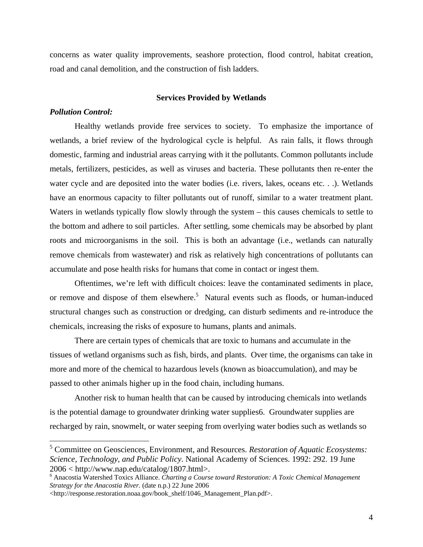concerns as water quality improvements, seashore protection, flood control, habitat creation, road and canal demolition, and the construction of fish ladders.

#### **Services Provided by Wetlands**

#### *Pollution Control:*

1

Healthy wetlands provide free services to society. To emphasize the importance of wetlands, a brief review of the hydrological cycle is helpful. As rain falls, it flows through domestic, farming and industrial areas carrying with it the pollutants. Common pollutants include metals, fertilizers, pesticides, as well as viruses and bacteria. These pollutants then re-enter the water cycle and are deposited into the water bodies (i.e. rivers, lakes, oceans etc. . .). Wetlands have an enormous capacity to filter pollutants out of runoff, similar to a water treatment plant. Waters in wetlands typically flow slowly through the system – this causes chemicals to settle to the bottom and adhere to soil particles. After settling, some chemicals may be absorbed by plant roots and microorganisms in the soil. This is both an advantage (i.e., wetlands can naturally remove chemicals from wastewater) and risk as relatively high concentrations of pollutants can accumulate and pose health risks for humans that come in contact or ingest them.

Oftentimes, we're left with difficult choices: leave the contaminated sediments in place, or remove and dispose of them elsewhere.<sup>[5](#page-4-0)</sup> Natural events such as floods, or human-induced structural changes such as construction or dredging, can disturb sediments and re-introduce the chemicals, increasing the risks of exposure to humans, plants and animals.

There are certain types of chemicals that are toxic to humans and accumulate in the tissues of wetland organisms such as fish, birds, and plants. Over time, the organisms can take in more and more of the chemical to hazardous levels (known as bioaccumulation), and may be passed to other animals higher up in the food chain, including humans.

Another risk to human health that can be caused by introducing chemicals into wetlands is the potential damage to groundwater drinking water supplies[6.](#page-4-1) Groundwater supplies are recharged by rain, snowmelt, or water seeping from overlying water bodies such as wetlands so

<span id="page-4-0"></span><sup>5</sup> Committee on Geosciences, Environment, and Resources. *Restoration of Aquatic Ecosystems: Science, Technology, and Public Policy*. National Academy of Sciences. 1992: 292. 19 June  $2006 < \text{http://www.nan.edu/catalog/1807.html}.$ 

<span id="page-4-1"></span>Anacostia Watershed Toxics Alliance. *Charting a Course toward Restoration: A Toxic Chemical Management Strategy for the Anacostia River.* (date n.p.) 22 June 2006

<sup>&</sup>lt;http://response.restoration.noaa.gov/book\_shelf/1046\_Management\_Plan.pdf>.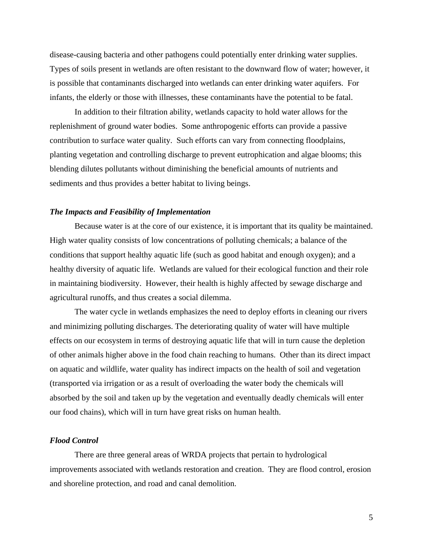disease-causing bacteria and other pathogens could potentially enter drinking water supplies. Types of soils present in wetlands are often resistant to the downward flow of water; however, it is possible that contaminants discharged into wetlands can enter drinking water aquifers. For infants, the elderly or those with illnesses, these contaminants have the potential to be fatal.

In addition to their filtration ability, wetlands capacity to hold water allows for the replenishment of ground water bodies. Some anthropogenic efforts can provide a passive contribution to surface water quality. Such efforts can vary from connecting floodplains, planting vegetation and controlling discharge to prevent eutrophication and algae blooms; this blending dilutes pollutants without diminishing the beneficial amounts of nutrients and sediments and thus provides a better habitat to living beings.

#### *The Impacts and Feasibility of Implementation*

Because water is at the core of our existence, it is important that its quality be maintained. High water quality consists of low concentrations of polluting chemicals; a balance of the conditions that support healthy aquatic life (such as good habitat and enough oxygen); and a healthy diversity of aquatic life. Wetlands are valued for their ecological function and their role in maintaining biodiversity. However, their health is highly affected by sewage discharge and agricultural runoffs, and thus creates a social dilemma.

The water cycle in wetlands emphasizes the need to deploy efforts in cleaning our rivers and minimizing polluting discharges. The deteriorating quality of water will have multiple effects on our ecosystem in terms of destroying aquatic life that will in turn cause the depletion of other animals higher above in the food chain reaching to humans. Other than its direct impact on aquatic and wildlife, water quality has indirect impacts on the health of soil and vegetation (transported via irrigation or as a result of overloading the water body the chemicals will absorbed by the soil and taken up by the vegetation and eventually deadly chemicals will enter our food chains), which will in turn have great risks on human health.

## *Flood Control*

There are three general areas of WRDA projects that pertain to hydrological improvements associated with wetlands restoration and creation. They are flood control, erosion and shoreline protection, and road and canal demolition.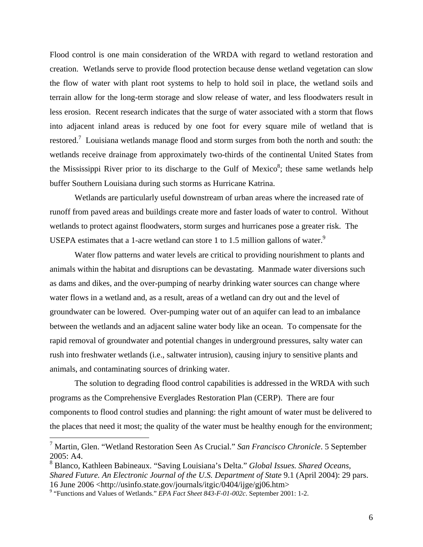Flood control is one main consideration of the WRDA with regard to wetland restoration and creation. Wetlands serve to provide flood protection because dense wetland vegetation can slow the flow of water with plant root systems to help to hold soil in place, the wetland soils and terrain allow for the long-term storage and slow release of water, and less floodwaters result in less erosion. Recent research indicates that the surge of water associated with a storm that flows into adjacent inland areas is reduced by one foot for every square mile of wetland that is restored.<sup>[7](#page-6-0)</sup> Louisiana wetlands manage flood and storm surges from both the north and south: the wetlands receive drainage from approximately two-thirds of the continental United States from the Mississippi River prior to its discharge to the Gulf of Mexico $\delta$ ; these same wetlands help buffer Southern Louisiana during such storms as Hurricane Katrina.

Wetlands are particularly useful downstream of urban areas where the increased rate of runoff from paved areas and buildings create more and faster loads of water to control. Without wetlands to protect against floodwaters, storm surges and hurricanes pose a greater risk. The USEPA estimates that a 1-acre wetland can store 1 to 1.5 million gallons of water.<sup>9</sup>

Water flow patterns and water levels are critical to providing nourishment to plants and animals within the habitat and disruptions can be devastating. Manmade water diversions such as dams and dikes, and the over-pumping of nearby drinking water sources can change where water flows in a wetland and, as a result, areas of a wetland can dry out and the level of groundwater can be lowered. Over-pumping water out of an aquifer can lead to an imbalance between the wetlands and an adjacent saline water body like an ocean. To compensate for the rapid removal of groundwater and potential changes in underground pressures, salty water can rush into freshwater wetlands (i.e., saltwater intrusion), causing injury to sensitive plants and animals, and contaminating sources of drinking water.

The solution to degrading flood control capabilities is addressed in the WRDA with such programs as the Comprehensive Everglades Restoration Plan (CERP). There are four components to flood control studies and planning: the right amount of water must be delivered to the places that need it most; the quality of the water must be healthy enough for the environment;

<span id="page-6-0"></span> 7 Martin, Glen. "Wetland Restoration Seen As Crucial." *San Francisco Chronicle*. 5 September 2005: A4.

<span id="page-6-1"></span><sup>8</sup> Blanco, Kathleen Babineaux. "Saving Louisiana's Delta." *Global Issues. Shared Oceans, Shared Future. An Electronic Journal of the U.S. Department of State* 9.1 (April 2004): 29 pars. 16 June 2006 <http://usinfo.state.gov/journals/itgic/0404/ijge/gj06.htm> 9

<span id="page-6-2"></span> <sup>&</sup>quot;Functions and Values of Wetlands." *EPA Fact Sheet 843-F-01-002c*. September 2001: 1-2.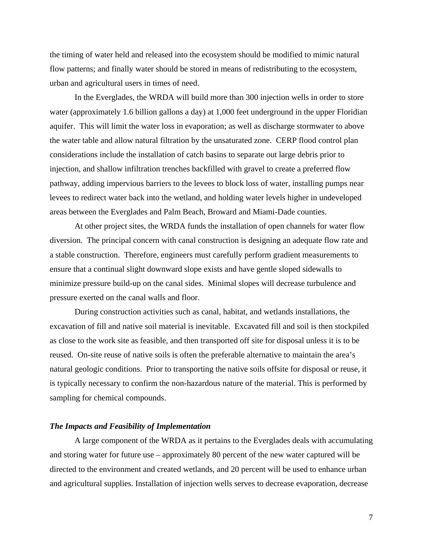the timing of water held and released into the ecosystem should be modified to mimic natural flow patterns; and finally water should be stored in means of redistributing to the ecosystem, urban and agricultural users in times of need.

In the Everglades, the WRDA will build more than 300 injection wells in order to store water (approximately 1.6 billion gallons a day) at 1,000 feet underground in the upper Floridian aquifer. This will limit the water loss in evaporation; as well as discharge stormwater to above the water table and allow natural filtration by the unsaturated zone. CERP flood control plan considerations include the installation of catch basins to separate out large debris prior to injection, and shallow infiltration trenches backfilled with gravel to create a preferred flow pathway, adding impervious barriers to the levees to block loss of water, installing pumps near levees to redirect water back into the wetland, and holding water levels higher in undeveloped areas between the Everglades and Palm Beach, Broward and Miami-Dade counties.

At other project sites, the WRDA funds the installation of open channels for water flow diversion. The principal concern with canal construction is designing an adequate flow rate and a stable construction. Therefore, engineers must carefully perform gradient measurements to ensure that a continual slight downward slope exists and have gentle sloped sidewalls to minimize pressure build-up on the canal sides. Minimal slopes will decrease turbulence and pressure exerted on the canal walls and floor.

During construction activities such as canal, habitat, and wetlands installations, the excavation of fill and native soil material is inevitable. Excavated fill and soil is then stockpiled as close to the work site as feasible, and then transported off site for disposal unless it is to be reused. On-site reuse of native soils is often the preferable alternative to maintain the area's natural geologic conditions. Prior to transporting the native soils offsite for disposal or reuse, it is typically necessary to confirm the non-hazardous nature of the material. This is performed by sampling for chemical compounds.

#### *The Impacts and Feasibility of Implementation*

A large component of the WRDA as it pertains to the Everglades deals with accumulating and storing water for future use – approximately 80 percent of the new water captured will be directed to the environment and created wetlands, and 20 percent will be used to enhance urban and agricultural supplies. Installation of injection wells serves to decrease evaporation, decrease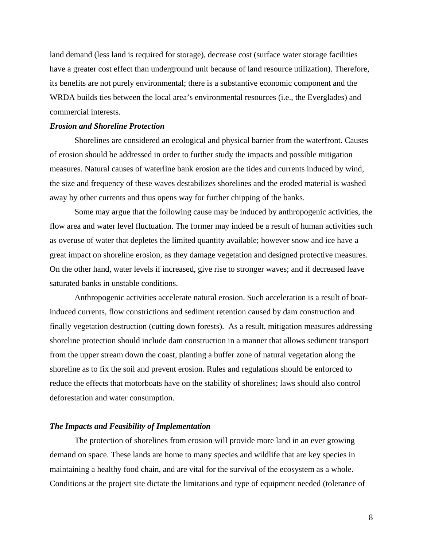land demand (less land is required for storage), decrease cost (surface water storage facilities have a greater cost effect than underground unit because of land resource utilization). Therefore, its benefits are not purely environmental; there is a substantive economic component and the WRDA builds ties between the local area's environmental resources (i.e., the Everglades) and commercial interests.

#### *Erosion and Shoreline Protection*

Shorelines are considered an ecological and physical barrier from the waterfront. Causes of erosion should be addressed in order to further study the impacts and possible mitigation measures. Natural causes of waterline bank erosion are the tides and currents induced by wind, the size and frequency of these waves destabilizes shorelines and the eroded material is washed away by other currents and thus opens way for further chipping of the banks.

Some may argue that the following cause may be induced by anthropogenic activities, the flow area and water level fluctuation. The former may indeed be a result of human activities such as overuse of water that depletes the limited quantity available; however snow and ice have a great impact on shoreline erosion, as they damage vegetation and designed protective measures. On the other hand, water levels if increased, give rise to stronger waves; and if decreased leave saturated banks in unstable conditions.

Anthropogenic activities accelerate natural erosion. Such acceleration is a result of boatinduced currents, flow constrictions and sediment retention caused by dam construction and finally vegetation destruction (cutting down forests). As a result, mitigation measures addressing shoreline protection should include dam construction in a manner that allows sediment transport from the upper stream down the coast, planting a buffer zone of natural vegetation along the shoreline as to fix the soil and prevent erosion. Rules and regulations should be enforced to reduce the effects that motorboats have on the stability of shorelines; laws should also control deforestation and water consumption.

#### *The Impacts and Feasibility of Implementation*

The protection of shorelines from erosion will provide more land in an ever growing demand on space. These lands are home to many species and wildlife that are key species in maintaining a healthy food chain, and are vital for the survival of the ecosystem as a whole. Conditions at the project site dictate the limitations and type of equipment needed (tolerance of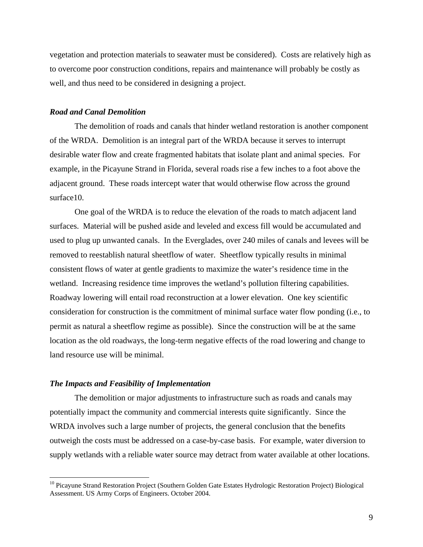vegetation and protection materials to seawater must be considered). Costs are relatively high as to overcome poor construction conditions, repairs and maintenance will probably be costly as well, and thus need to be considered in designing a project.

#### *Road and Canal Demolition*

The demolition of roads and canals that hinder wetland restoration is another component of the WRDA. Demolition is an integral part of the WRDA because it serves to interrupt desirable water flow and create fragmented habitats that isolate plant and animal species. For example, in the Picayune Strand in Florida, several roads rise a few inches to a foot above the adjacent ground. These roads intercept water that would otherwise flow across the ground surface[10.](#page-9-0)

One goal of the WRDA is to reduce the elevation of the roads to match adjacent land surfaces. Material will be pushed aside and leveled and excess fill would be accumulated and used to plug up unwanted canals. In the Everglades, over 240 miles of canals and levees will be removed to reestablish natural sheetflow of water. Sheetflow typically results in minimal consistent flows of water at gentle gradients to maximize the water's residence time in the wetland. Increasing residence time improves the wetland's pollution filtering capabilities. Roadway lowering will entail road reconstruction at a lower elevation. One key scientific consideration for construction is the commitment of minimal surface water flow ponding (i.e., to permit as natural a sheetflow regime as possible). Since the construction will be at the same location as the old roadways, the long-term negative effects of the road lowering and change to land resource use will be minimal.

#### *The Impacts and Feasibility of Implementation*

 $\overline{a}$ 

The demolition or major adjustments to infrastructure such as roads and canals may potentially impact the community and commercial interests quite significantly. Since the WRDA involves such a large number of projects, the general conclusion that the benefits outweigh the costs must be addressed on a case-by-case basis. For example, water diversion to supply wetlands with a reliable water source may detract from water available at other locations.

<span id="page-9-0"></span><sup>&</sup>lt;sup>10</sup> Picayune Strand Restoration Project (Southern Golden Gate Estates Hydrologic Restoration Project) Biological Assessment. US Army Corps of Engineers. October 2004.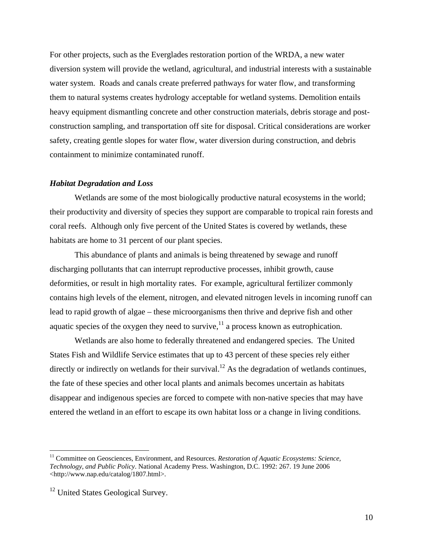For other projects, such as the Everglades restoration portion of the WRDA, a new water diversion system will provide the wetland, agricultural, and industrial interests with a sustainable water system. Roads and canals create preferred pathways for water flow, and transforming them to natural systems creates hydrology acceptable for wetland systems. Demolition entails heavy equipment dismantling concrete and other construction materials, debris storage and postconstruction sampling, and transportation off site for disposal. Critical considerations are worker safety, creating gentle slopes for water flow, water diversion during construction, and debris containment to minimize contaminated runoff.

#### *Habitat Degradation and Loss*

Wetlands are some of the most biologically productive natural ecosystems in the world; their productivity and diversity of species they support are comparable to tropical rain forests and coral reefs. Although only five percent of the United States is covered by wetlands, these habitats are home to 31 percent of our plant species.

This abundance of plants and animals is being threatened by sewage and runoff discharging pollutants that can interrupt reproductive processes, inhibit growth, cause deformities, or result in high mortality rates. For example, agricultural fertilizer commonly contains high levels of the element, nitrogen, and elevated nitrogen levels in incoming runoff can lead to rapid growth of algae – these microorganisms then thrive and deprive fish and other aquatic species of the oxygen they need to survive, $^{11}$  a process known as eutrophication.

Wetlands are also home to federally threatened and endangered species. The United States Fish and Wildlife Service estimates that up to 43 percent of these species rely either directly or indirectly on wetlands for their survival.<sup>12</sup> As the degradation of wetlands continues, the fate of these species and other local plants and animals becomes uncertain as habitats disappear and indigenous species are forced to compete with non-native species that may have entered the wetland in an effort to escape its own habitat loss or a change in living conditions.

1

<span id="page-10-0"></span><sup>&</sup>lt;sup>11</sup> Committee on Geosciences, Environment, and Resources. *Restoration of Aquatic Ecosystems: Science*, *Technology, and Public Policy*. National Academy Press. Washington, D.C. 1992: 267. 19 June 2006 <http://www.nap.edu/catalog/1807.html>.

<span id="page-10-1"></span><sup>&</sup>lt;sup>12</sup> United States Geological Survey.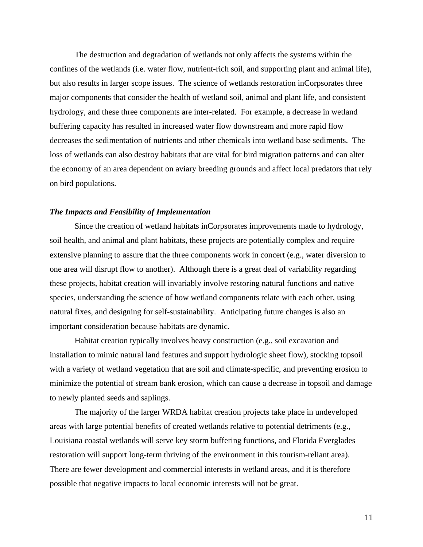The destruction and degradation of wetlands not only affects the systems within the confines of the wetlands (i.e. water flow, nutrient-rich soil, and supporting plant and animal life), but also results in larger scope issues. The science of wetlands restoration inCorpsorates three major components that consider the health of wetland soil, animal and plant life, and consistent hydrology, and these three components are inter-related. For example, a decrease in wetland buffering capacity has resulted in increased water flow downstream and more rapid flow decreases the sedimentation of nutrients and other chemicals into wetland base sediments. The loss of wetlands can also destroy habitats that are vital for bird migration patterns and can alter the economy of an area dependent on aviary breeding grounds and affect local predators that rely on bird populations.

#### *The Impacts and Feasibility of Implementation*

Since the creation of wetland habitats inCorpsorates improvements made to hydrology, soil health, and animal and plant habitats, these projects are potentially complex and require extensive planning to assure that the three components work in concert (e.g., water diversion to one area will disrupt flow to another). Although there is a great deal of variability regarding these projects, habitat creation will invariably involve restoring natural functions and native species, understanding the science of how wetland components relate with each other, using natural fixes, and designing for self-sustainability. Anticipating future changes is also an important consideration because habitats are dynamic.

Habitat creation typically involves heavy construction (e.g., soil excavation and installation to mimic natural land features and support hydrologic sheet flow), stocking topsoil with a variety of wetland vegetation that are soil and climate-specific, and preventing erosion to minimize the potential of stream bank erosion, which can cause a decrease in topsoil and damage to newly planted seeds and saplings.

The majority of the larger WRDA habitat creation projects take place in undeveloped areas with large potential benefits of created wetlands relative to potential detriments (e.g., Louisiana coastal wetlands will serve key storm buffering functions, and Florida Everglades restoration will support long-term thriving of the environment in this tourism-reliant area). There are fewer development and commercial interests in wetland areas, and it is therefore possible that negative impacts to local economic interests will not be great.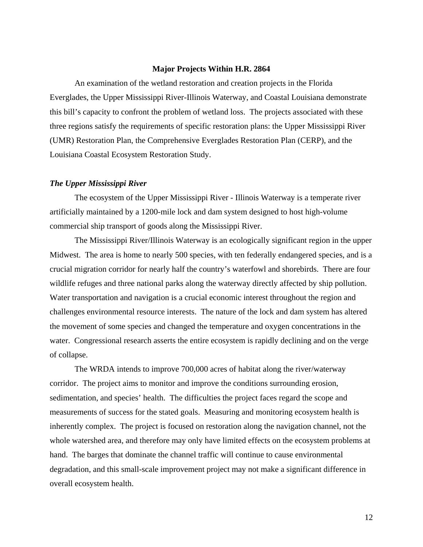#### **Major Projects Within H.R. 2864**

An examination of the wetland restoration and creation projects in the Florida Everglades, the Upper Mississippi River-Illinois Waterway, and Coastal Louisiana demonstrate this bill's capacity to confront the problem of wetland loss. The projects associated with these three regions satisfy the requirements of specific restoration plans: the Upper Mississippi River (UMR) Restoration Plan, the Comprehensive Everglades Restoration Plan (CERP), and the Louisiana Coastal Ecosystem Restoration Study.

#### *The Upper Mississippi River*

The ecosystem of the Upper Mississippi River - Illinois Waterway is a temperate river artificially maintained by a 1200-mile lock and dam system designed to host high-volume commercial ship transport of goods along the Mississippi River.

The Mississippi River/Illinois Waterway is an ecologically significant region in the upper Midwest. The area is home to nearly 500 species, with ten federally endangered species, and is a crucial migration corridor for nearly half the country's waterfowl and shorebirds. There are four wildlife refuges and three national parks along the waterway directly affected by ship pollution. Water transportation and navigation is a crucial economic interest throughout the region and challenges environmental resource interests. The nature of the lock and dam system has altered the movement of some species and changed the temperature and oxygen concentrations in the water. Congressional research asserts the entire ecosystem is rapidly declining and on the verge of collapse.

The WRDA intends to improve 700,000 acres of habitat along the river/waterway corridor. The project aims to monitor and improve the conditions surrounding erosion, sedimentation, and species' health. The difficulties the project faces regard the scope and measurements of success for the stated goals. Measuring and monitoring ecosystem health is inherently complex. The project is focused on restoration along the navigation channel, not the whole watershed area, and therefore may only have limited effects on the ecosystem problems at hand. The barges that dominate the channel traffic will continue to cause environmental degradation, and this small-scale improvement project may not make a significant difference in overall ecosystem health.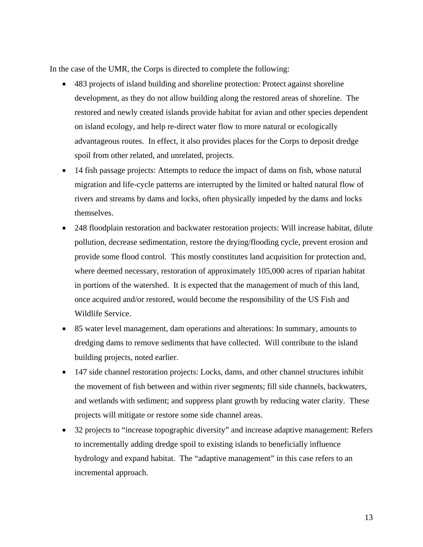In the case of the UMR, the Corps is directed to complete the following:

- 483 projects of island building and shoreline protection: Protect against shoreline development, as they do not allow building along the restored areas of shoreline. The restored and newly created islands provide habitat for avian and other species dependent on island ecology, and help re-direct water flow to more natural or ecologically advantageous routes. In effect, it also provides places for the Corps to deposit dredge spoil from other related, and unrelated, projects.
- 14 fish passage projects: Attempts to reduce the impact of dams on fish, whose natural migration and life-cycle patterns are interrupted by the limited or halted natural flow of rivers and streams by dams and locks, often physically impeded by the dams and locks themselves.
- 248 floodplain restoration and backwater restoration projects: Will increase habitat, dilute pollution, decrease sedimentation, restore the drying/flooding cycle, prevent erosion and provide some flood control. This mostly constitutes land acquisition for protection and, where deemed necessary, restoration of approximately 105,000 acres of riparian habitat in portions of the watershed. It is expected that the management of much of this land, once acquired and/or restored, would become the responsibility of the US Fish and Wildlife Service.
- 85 water level management, dam operations and alterations: In summary, amounts to dredging dams to remove sediments that have collected. Will contribute to the island building projects, noted earlier.
- 147 side channel restoration projects: Locks, dams, and other channel structures inhibit the movement of fish between and within river segments; fill side channels, backwaters, and wetlands with sediment; and suppress plant growth by reducing water clarity. These projects will mitigate or restore some side channel areas.
- 32 projects to "increase topographic diversity" and increase adaptive management: Refers to incrementally adding dredge spoil to existing islands to beneficially influence hydrology and expand habitat. The "adaptive management" in this case refers to an incremental approach.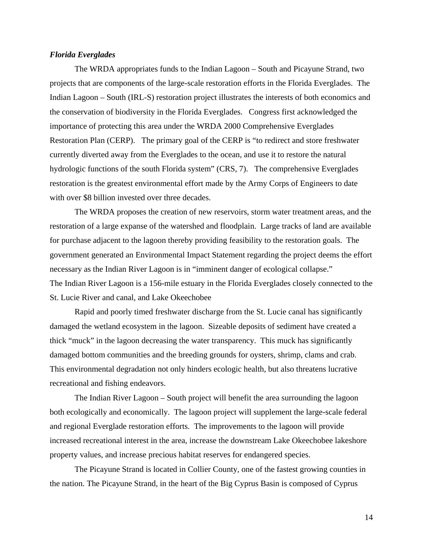#### *Florida Everglades*

The WRDA appropriates funds to the Indian Lagoon – South and Picayune Strand, two projects that are components of the large-scale restoration efforts in the Florida Everglades. The Indian Lagoon – South (IRL-S) restoration project illustrates the interests of both economics and the conservation of biodiversity in the Florida Everglades. Congress first acknowledged the importance of protecting this area under the WRDA 2000 Comprehensive Everglades Restoration Plan (CERP). The primary goal of the CERP is "to redirect and store freshwater currently diverted away from the Everglades to the ocean, and use it to restore the natural hydrologic functions of the south Florida system" (CRS, 7). The comprehensive Everglades restoration is the greatest environmental effort made by the Army Corps of Engineers to date with over \$8 billion invested over three decades.

The WRDA proposes the creation of new reservoirs, storm water treatment areas, and the restoration of a large expanse of the watershed and floodplain. Large tracks of land are available for purchase adjacent to the lagoon thereby providing feasibility to the restoration goals. The government generated an Environmental Impact Statement regarding the project deems the effort necessary as the Indian River Lagoon is in "imminent danger of ecological collapse." The Indian River Lagoon is a 156-mile estuary in the Florida Everglades closely connected to the St. Lucie River and canal, and Lake Okeechobee

Rapid and poorly timed freshwater discharge from the St. Lucie canal has significantly damaged the wetland ecosystem in the lagoon. Sizeable deposits of sediment have created a thick "muck" in the lagoon decreasing the water transparency. This muck has significantly damaged bottom communities and the breeding grounds for oysters, shrimp, clams and crab. This environmental degradation not only hinders ecologic health, but also threatens lucrative recreational and fishing endeavors.

The Indian River Lagoon – South project will benefit the area surrounding the lagoon both ecologically and economically. The lagoon project will supplement the large-scale federal and regional Everglade restoration efforts. The improvements to the lagoon will provide increased recreational interest in the area, increase the downstream Lake Okeechobee lakeshore property values, and increase precious habitat reserves for endangered species.

The Picayune Strand is located in Collier County, one of the fastest growing counties in the nation. The Picayune Strand, in the heart of the Big Cyprus Basin is composed of Cyprus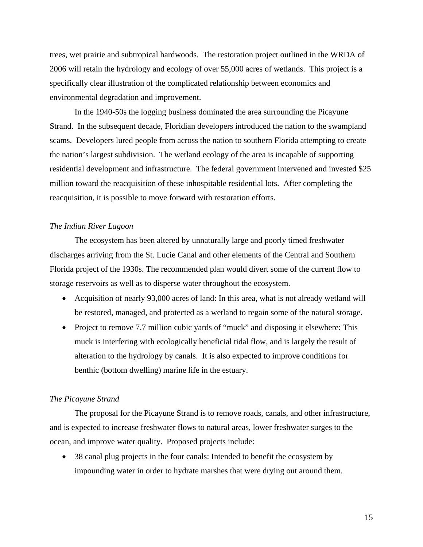trees, wet prairie and subtropical hardwoods. The restoration project outlined in the WRDA of 2006 will retain the hydrology and ecology of over 55,000 acres of wetlands. This project is a specifically clear illustration of the complicated relationship between economics and environmental degradation and improvement.

In the 1940-50s the logging business dominated the area surrounding the Picayune Strand. In the subsequent decade, Floridian developers introduced the nation to the swampland scams. Developers lured people from across the nation to southern Florida attempting to create the nation's largest subdivision. The wetland ecology of the area is incapable of supporting residential development and infrastructure. The federal government intervened and invested \$25 million toward the reacquisition of these inhospitable residential lots. After completing the reacquisition, it is possible to move forward with restoration efforts.

# *The Indian River Lagoon*

The ecosystem has been altered by unnaturally large and poorly timed freshwater discharges arriving from the St. Lucie Canal and other elements of the Central and Southern Florida project of the 1930s. The recommended plan would divert some of the current flow to storage reservoirs as well as to disperse water throughout the ecosystem.

- Acquisition of nearly 93,000 acres of land: In this area, what is not already wetland will be restored, managed, and protected as a wetland to regain some of the natural storage.
- Project to remove 7.7 million cubic yards of "muck" and disposing it elsewhere: This muck is interfering with ecologically beneficial tidal flow, and is largely the result of alteration to the hydrology by canals. It is also expected to improve conditions for benthic (bottom dwelling) marine life in the estuary.

#### *The Picayune Strand*

The proposal for the Picayune Strand is to remove roads, canals, and other infrastructure, and is expected to increase freshwater flows to natural areas, lower freshwater surges to the ocean, and improve water quality. Proposed projects include:

• 38 canal plug projects in the four canals: Intended to benefit the ecosystem by impounding water in order to hydrate marshes that were drying out around them.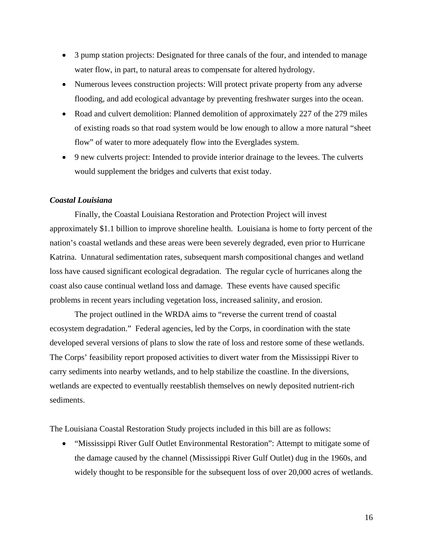- 3 pump station projects: Designated for three canals of the four, and intended to manage water flow, in part, to natural areas to compensate for altered hydrology.
- Numerous levees construction projects: Will protect private property from any adverse flooding, and add ecological advantage by preventing freshwater surges into the ocean.
- Road and culvert demolition: Planned demolition of approximately 227 of the 279 miles of existing roads so that road system would be low enough to allow a more natural "sheet flow" of water to more adequately flow into the Everglades system.
- 9 new culverts project: Intended to provide interior drainage to the levees. The culverts would supplement the bridges and culverts that exist today.

## *Coastal Louisiana*

Finally, the Coastal Louisiana Restoration and Protection Project will invest approximately \$1.1 billion to improve shoreline health. Louisiana is home to forty percent of the nation's coastal wetlands and these areas were been severely degraded, even prior to Hurricane Katrina. Unnatural sedimentation rates, subsequent marsh compositional changes and wetland loss have caused significant ecological degradation. The regular cycle of hurricanes along the coast also cause continual wetland loss and damage. These events have caused specific problems in recent years including vegetation loss, increased salinity, and erosion.

The project outlined in the WRDA aims to "reverse the current trend of coastal ecosystem degradation." Federal agencies, led by the Corps, in coordination with the state developed several versions of plans to slow the rate of loss and restore some of these wetlands. The Corps' feasibility report proposed activities to divert water from the Mississippi River to carry sediments into nearby wetlands, and to help stabilize the coastline. In the diversions, wetlands are expected to eventually reestablish themselves on newly deposited nutrient-rich sediments.

The Louisiana Coastal Restoration Study projects included in this bill are as follows:

• "Mississippi River Gulf Outlet Environmental Restoration": Attempt to mitigate some of the damage caused by the channel (Mississippi River Gulf Outlet) dug in the 1960s, and widely thought to be responsible for the subsequent loss of over 20,000 acres of wetlands.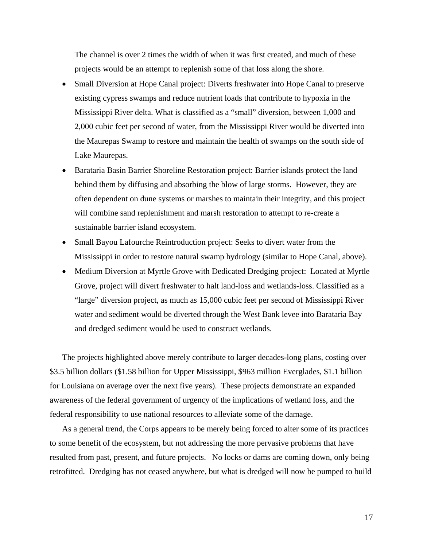The channel is over 2 times the width of when it was first created, and much of these projects would be an attempt to replenish some of that loss along the shore.

- Small Diversion at Hope Canal project: Diverts freshwater into Hope Canal to preserve existing cypress swamps and reduce nutrient loads that contribute to hypoxia in the Mississippi River delta. What is classified as a "small" diversion, between 1,000 and 2,000 cubic feet per second of water, from the Mississippi River would be diverted into the Maurepas Swamp to restore and maintain the health of swamps on the south side of Lake Maurepas.
- Barataria Basin Barrier Shoreline Restoration project: Barrier islands protect the land behind them by diffusing and absorbing the blow of large storms. However, they are often dependent on dune systems or marshes to maintain their integrity, and this project will combine sand replenishment and marsh restoration to attempt to re-create a sustainable barrier island ecosystem.
- Small Bayou Lafourche Reintroduction project: Seeks to divert water from the Mississippi in order to restore natural swamp hydrology (similar to Hope Canal, above).
- Medium Diversion at Myrtle Grove with Dedicated Dredging project: Located at Myrtle Grove, project will divert freshwater to halt land-loss and wetlands-loss. Classified as a "large" diversion project, as much as 15,000 cubic feet per second of Mississippi River water and sediment would be diverted through the West Bank levee into Barataria Bay and dredged sediment would be used to construct wetlands.

The projects highlighted above merely contribute to larger decades-long plans, costing over \$3.5 billion dollars (\$1.58 billion for Upper Mississippi, \$963 million Everglades, \$1.1 billion for Louisiana on average over the next five years). These projects demonstrate an expanded awareness of the federal government of urgency of the implications of wetland loss, and the federal responsibility to use national resources to alleviate some of the damage.

As a general trend, the Corps appears to be merely being forced to alter some of its practices to some benefit of the ecosystem, but not addressing the more pervasive problems that have resulted from past, present, and future projects. No locks or dams are coming down, only being retrofitted. Dredging has not ceased anywhere, but what is dredged will now be pumped to build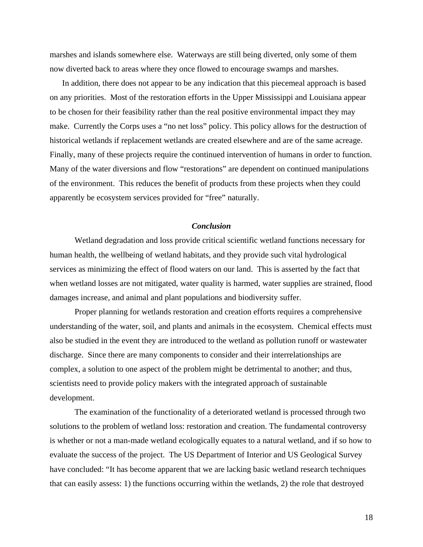marshes and islands somewhere else. Waterways are still being diverted, only some of them now diverted back to areas where they once flowed to encourage swamps and marshes.

In addition, there does not appear to be any indication that this piecemeal approach is based on any priorities. Most of the restoration efforts in the Upper Mississippi and Louisiana appear to be chosen for their feasibility rather than the real positive environmental impact they may make. Currently the Corps uses a "no net loss" policy. This policy allows for the destruction of historical wetlands if replacement wetlands are created elsewhere and are of the same acreage. Finally, many of these projects require the continued intervention of humans in order to function. Many of the water diversions and flow "restorations" are dependent on continued manipulations of the environment. This reduces the benefit of products from these projects when they could apparently be ecosystem services provided for "free" naturally.

## *Conclusion*

Wetland degradation and loss provide critical scientific wetland functions necessary for human health, the wellbeing of wetland habitats, and they provide such vital hydrological services as minimizing the effect of flood waters on our land. This is asserted by the fact that when wetland losses are not mitigated, water quality is harmed, water supplies are strained, flood damages increase, and animal and plant populations and biodiversity suffer.

Proper planning for wetlands restoration and creation efforts requires a comprehensive understanding of the water, soil, and plants and animals in the ecosystem. Chemical effects must also be studied in the event they are introduced to the wetland as pollution runoff or wastewater discharge. Since there are many components to consider and their interrelationships are complex, a solution to one aspect of the problem might be detrimental to another; and thus, scientists need to provide policy makers with the integrated approach of sustainable development.

The examination of the functionality of a deteriorated wetland is processed through two solutions to the problem of wetland loss: restoration and creation. The fundamental controversy is whether or not a man-made wetland ecologically equates to a natural wetland, and if so how to evaluate the success of the project. The US Department of Interior and US Geological Survey have concluded: "It has become apparent that we are lacking basic wetland research techniques that can easily assess: 1) the functions occurring within the wetlands, 2) the role that destroyed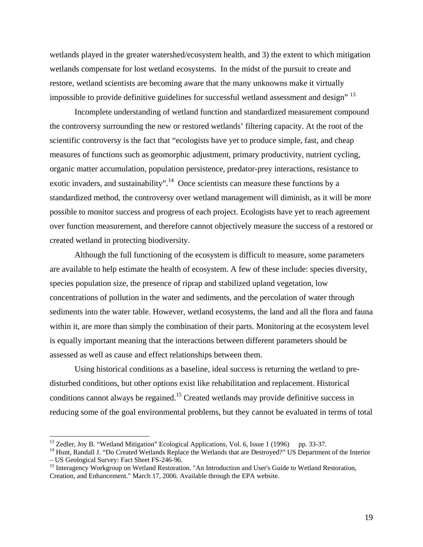wetlands played in the greater watershed/ecosystem health, and 3) the extent to which mitigation wetlands compensate for lost wetland ecosystems. In the midst of the pursuit to create and restore, wetland scientists are becoming aware that the many unknowns make it virtually impossible to provide definitive guidelines for successful wetland assessment and design" [13](#page-19-0)

 Incomplete understanding of wetland function and standardized measurement compound the controversy surrounding the new or restored wetlands' filtering capacity. At the root of the scientific controversy is the fact that "ecologists have yet to produce simple, fast, and cheap measures of functions such as geomorphic adjustment, primary productivity, nutrient cycling, organic matter accumulation, population persistence, predator-prey interactions, resistance to exotic invaders, and sustainability".<sup>14</sup> Once scientists can measure these functions by a standardized method, the controversy over wetland management will diminish, as it will be more possible to monitor success and progress of each project. Ecologists have yet to reach agreement over function measurement, and therefore cannot objectively measure the success of a restored or created wetland in protecting biodiversity.

Although the full functioning of the ecosystem is difficult to measure, some parameters are available to help estimate the health of ecosystem. A few of these include: species diversity, species population size, the presence of riprap and stabilized upland vegetation, low concentrations of pollution in the water and sediments, and the percolation of water through sediments into the water table. However, wetland ecosystems, the land and all the flora and fauna within it, are more than simply the combination of their parts. Monitoring at the ecosystem level is equally important meaning that the interactions between different parameters should be assessed as well as cause and effect relationships between them.

Using historical conditions as a baseline, ideal success is returning the wetland to predisturbed conditions, but other options exist like rehabilitation and replacement. Historical conditions cannot always be regained.<sup>15</sup> Created wetlands may provide definitive success in reducing some of the goal environmental problems, but they cannot be evaluated in terms of total

<u>.</u>

<span id="page-19-1"></span><span id="page-19-0"></span>

<sup>&</sup>lt;sup>13</sup> Zedler, Joy B. "Wetland Mitigation" Ecological Applications, Vol. 6, Issue 1 (1996) pp. 33-37.<br><sup>14</sup> Hunt, Randall J. "Do Created Wetlands Replace the Wetlands that are Destroyed?" US Department of the Interior<br>– US G

<span id="page-19-2"></span> $^{15}$  Interagency Workgroup on Wetland Restoration. "An Introduction and User's Guide to Wetland Restoration, Creation, and Enhancement." March 17, 2006. Available through the EPA website.